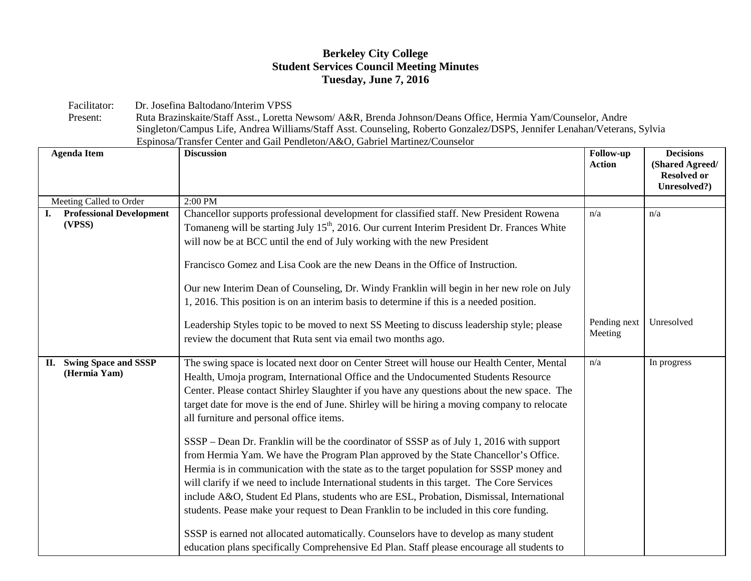## **Berkeley City College Student Services Council Meeting Minutes Tuesday, June 7, 2016**

Facilitator: Dr. Josefina Baltodano/Interim VPSS<br>Present: Ruta Brazinskaite/Staff Asst., Loretta

Ruta Brazinskaite/Staff Asst., Loretta Newsom/ A&R, Brenda Johnson/Deans Office, Hermia Yam/Counselor, Andre Singleton/Campus Life, Andrea Williams/Staff Asst. Counseling, Roberto Gonzalez/DSPS, Jennifer Lenahan/Veterans, Sylvia Espinosa/Transfer Center and Gail Pendleton/A&O, Gabriel Martinez/Counselor

| <b>Agenda Item</b>                        | <b>Discussion</b>                                                                                                                                                                                                                                                                                                                                                                                                                                                                                                                                                                                                                                                                                           | <b>Follow-up</b><br><b>Action</b> | <b>Decisions</b><br>(Shared Agreed/<br><b>Resolved or</b><br>Unresolved?) |
|-------------------------------------------|-------------------------------------------------------------------------------------------------------------------------------------------------------------------------------------------------------------------------------------------------------------------------------------------------------------------------------------------------------------------------------------------------------------------------------------------------------------------------------------------------------------------------------------------------------------------------------------------------------------------------------------------------------------------------------------------------------------|-----------------------------------|---------------------------------------------------------------------------|
| Meeting Called to Order                   | 2:00 PM                                                                                                                                                                                                                                                                                                                                                                                                                                                                                                                                                                                                                                                                                                     |                                   |                                                                           |
| <b>Professional Development</b><br>(VPSS) | Chancellor supports professional development for classified staff. New President Rowena<br>Tomaneng will be starting July 15 <sup>th</sup> , 2016. Our current Interim President Dr. Frances White<br>will now be at BCC until the end of July working with the new President<br>Francisco Gomez and Lisa Cook are the new Deans in the Office of Instruction.                                                                                                                                                                                                                                                                                                                                              | n/a                               | n/a                                                                       |
|                                           | Our new Interim Dean of Counseling, Dr. Windy Franklin will begin in her new role on July<br>1, 2016. This position is on an interim basis to determine if this is a needed position.                                                                                                                                                                                                                                                                                                                                                                                                                                                                                                                       |                                   |                                                                           |
|                                           | Leadership Styles topic to be moved to next SS Meeting to discuss leadership style; please<br>review the document that Ruta sent via email two months ago.                                                                                                                                                                                                                                                                                                                                                                                                                                                                                                                                                  | Pending next<br>Meeting           | Unresolved                                                                |
| II. Swing Space and SSSP<br>(Hermia Yam)  | The swing space is located next door on Center Street will house our Health Center, Mental<br>Health, Umoja program, International Office and the Undocumented Students Resource<br>Center. Please contact Shirley Slaughter if you have any questions about the new space. The<br>target date for move is the end of June. Shirley will be hiring a moving company to relocate<br>all furniture and personal office items.<br>SSSP – Dean Dr. Franklin will be the coordinator of SSSP as of July 1, 2016 with support<br>from Hermia Yam. We have the Program Plan approved by the State Chancellor's Office.<br>Hermia is in communication with the state as to the target population for SSSP money and | n/a                               | In progress                                                               |
|                                           | will clarify if we need to include International students in this target. The Core Services<br>include A&O, Student Ed Plans, students who are ESL, Probation, Dismissal, International<br>students. Pease make your request to Dean Franklin to be included in this core funding.<br>SSSP is earned not allocated automatically. Counselors have to develop as many student<br>education plans specifically Comprehensive Ed Plan. Staff please encourage all students to                                                                                                                                                                                                                                  |                                   |                                                                           |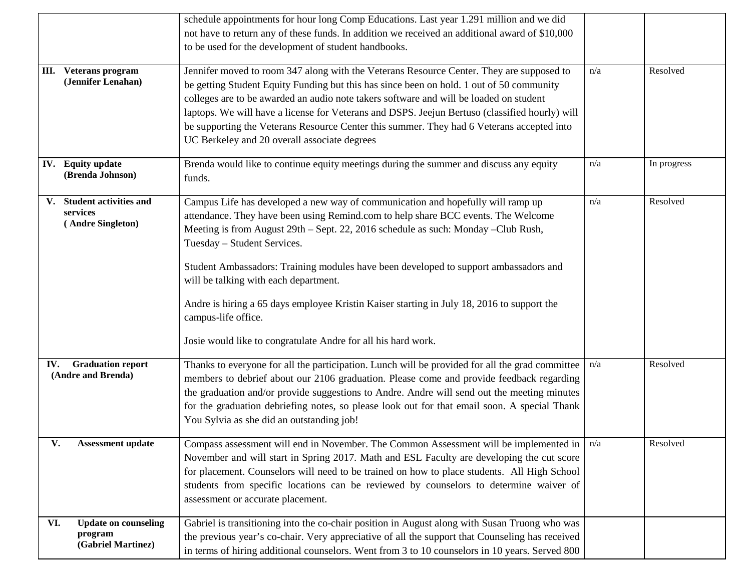|                                                                     | schedule appointments for hour long Comp Educations. Last year 1.291 million and we did<br>not have to return any of these funds. In addition we received an additional award of \$10,000<br>to be used for the development of student handbooks.                                                                                                                                                                                                                                                                                                                                                                |     |             |
|---------------------------------------------------------------------|------------------------------------------------------------------------------------------------------------------------------------------------------------------------------------------------------------------------------------------------------------------------------------------------------------------------------------------------------------------------------------------------------------------------------------------------------------------------------------------------------------------------------------------------------------------------------------------------------------------|-----|-------------|
| III. Veterans program<br>(Jennifer Lenahan)                         | Jennifer moved to room 347 along with the Veterans Resource Center. They are supposed to<br>be getting Student Equity Funding but this has since been on hold. 1 out of 50 community<br>colleges are to be awarded an audio note takers software and will be loaded on student<br>laptops. We will have a license for Veterans and DSPS. Jeejun Bertuso (classified hourly) will<br>be supporting the Veterans Resource Center this summer. They had 6 Veterans accepted into<br>UC Berkeley and 20 overall associate degrees                                                                                    | n/a | Resolved    |
| IV. Equity update<br>(Brenda Johnson)                               | Brenda would like to continue equity meetings during the summer and discuss any equity<br>funds.                                                                                                                                                                                                                                                                                                                                                                                                                                                                                                                 | n/a | In progress |
| V. Student activities and<br>services<br>(Andre Singleton)          | Campus Life has developed a new way of communication and hopefully will ramp up<br>attendance. They have been using Remind.com to help share BCC events. The Welcome<br>Meeting is from August 29th - Sept. 22, 2016 schedule as such: Monday - Club Rush,<br>Tuesday - Student Services.<br>Student Ambassadors: Training modules have been developed to support ambassadors and<br>will be talking with each department.<br>Andre is hiring a 65 days employee Kristin Kaiser starting in July 18, 2016 to support the<br>campus-life office.<br>Josie would like to congratulate Andre for all his hard work. | n/a | Resolved    |
| <b>IV.</b> Graduation report<br>(Andre and Brenda)                  | Thanks to everyone for all the participation. Lunch will be provided for all the grad committee<br>members to debrief about our 2106 graduation. Please come and provide feedback regarding<br>the graduation and/or provide suggestions to Andre. Andre will send out the meeting minutes<br>for the graduation debriefing notes, so please look out for that email soon. A special Thank<br>You Sylvia as she did an outstanding job!                                                                                                                                                                          | n/a | Resolved    |
| V.<br>Assessment update                                             | Compass assessment will end in November. The Common Assessment will be implemented in<br>November and will start in Spring 2017. Math and ESL Faculty are developing the cut score<br>for placement. Counselors will need to be trained on how to place students. All High School<br>students from specific locations can be reviewed by counselors to determine waiver of<br>assessment or accurate placement.                                                                                                                                                                                                  | n/a | Resolved    |
| VI.<br><b>Update on counseling</b><br>program<br>(Gabriel Martinez) | Gabriel is transitioning into the co-chair position in August along with Susan Truong who was<br>the previous year's co-chair. Very appreciative of all the support that Counseling has received<br>in terms of hiring additional counselors. Went from 3 to 10 counselors in 10 years. Served 800                                                                                                                                                                                                                                                                                                               |     |             |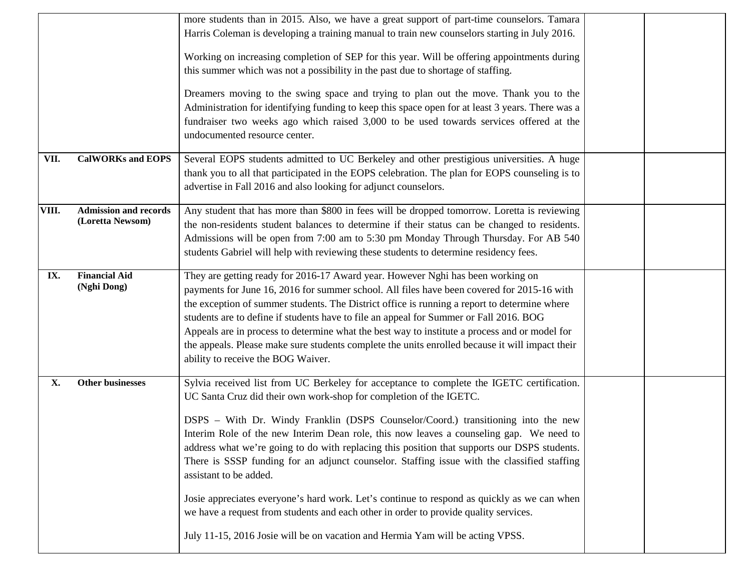|       |                                           | more students than in 2015. Also, we have a great support of part-time counselors. Tamara<br>Harris Coleman is developing a training manual to train new counselors starting in July 2016.<br>Working on increasing completion of SEP for this year. Will be offering appointments during<br>this summer which was not a possibility in the past due to shortage of staffing.<br>Dreamers moving to the swing space and trying to plan out the move. Thank you to the<br>Administration for identifying funding to keep this space open for at least 3 years. There was a<br>fundraiser two weeks ago which raised 3,000 to be used towards services offered at the<br>undocumented resource center.                                                                                                                                              |  |
|-------|-------------------------------------------|---------------------------------------------------------------------------------------------------------------------------------------------------------------------------------------------------------------------------------------------------------------------------------------------------------------------------------------------------------------------------------------------------------------------------------------------------------------------------------------------------------------------------------------------------------------------------------------------------------------------------------------------------------------------------------------------------------------------------------------------------------------------------------------------------------------------------------------------------|--|
| VII.  | <b>CalWORKs and EOPS</b>                  | Several EOPS students admitted to UC Berkeley and other prestigious universities. A huge<br>thank you to all that participated in the EOPS celebration. The plan for EOPS counseling is to<br>advertise in Fall 2016 and also looking for adjunct counselors.                                                                                                                                                                                                                                                                                                                                                                                                                                                                                                                                                                                     |  |
| VIII. | Admission and records<br>(Loretta Newsom) | Any student that has more than \$800 in fees will be dropped tomorrow. Loretta is reviewing<br>the non-residents student balances to determine if their status can be changed to residents.<br>Admissions will be open from 7:00 am to 5:30 pm Monday Through Thursday. For AB 540<br>students Gabriel will help with reviewing these students to determine residency fees.                                                                                                                                                                                                                                                                                                                                                                                                                                                                       |  |
| IX.   | <b>Financial Aid</b><br>(Nghi Dong)       | They are getting ready for 2016-17 Award year. However Nghi has been working on<br>payments for June 16, 2016 for summer school. All files have been covered for 2015-16 with<br>the exception of summer students. The District office is running a report to determine where<br>students are to define if students have to file an appeal for Summer or Fall 2016. BOG<br>Appeals are in process to determine what the best way to institute a process and or model for<br>the appeals. Please make sure students complete the units enrolled because it will impact their<br>ability to receive the BOG Waiver.                                                                                                                                                                                                                                 |  |
| X.    | Other businesses                          | Sylvia received list from UC Berkeley for acceptance to complete the IGETC certification.<br>UC Santa Cruz did their own work-shop for completion of the IGETC.<br>DSPS - With Dr. Windy Franklin (DSPS Counselor/Coord.) transitioning into the new<br>Interim Role of the new Interim Dean role, this now leaves a counseling gap. We need to<br>address what we're going to do with replacing this position that supports our DSPS students.<br>There is SSSP funding for an adjunct counselor. Staffing issue with the classified staffing<br>assistant to be added.<br>Josie appreciates everyone's hard work. Let's continue to respond as quickly as we can when<br>we have a request from students and each other in order to provide quality services.<br>July 11-15, 2016 Josie will be on vacation and Hermia Yam will be acting VPSS. |  |